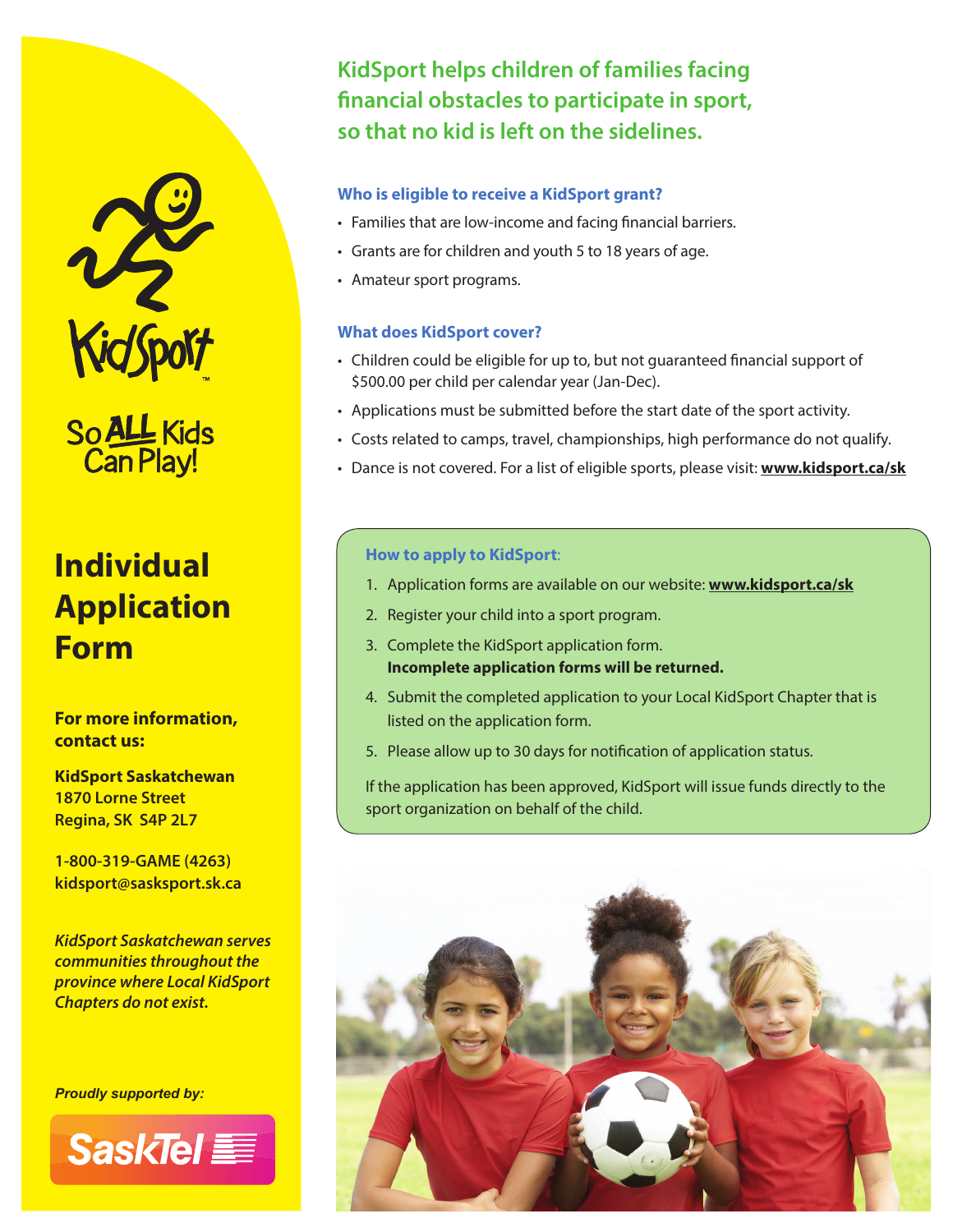

So ALL Kids<br>Can Play!

# **Individual Application Form**

**For more information, contact us:**

**KidSport Saskatchewan 1870 Lorne Street Regina, SK S4P 2L7**

**1-800-319-GAME (4263) kidsport@sasksport.sk.ca**

*KidSport Saskatchewan serves communities throughout the province where Local KidSport Chapters do not exist.*

*Proudly supported by:*



**KidSport helps children of families facing**  financial obstacles to participate in sport, **so that no kid is left on the sidelines.**

#### **Who is eligible to receive a KidSport grant?**

- Families that are low-income and facing financial barriers.
- Grants are for children and youth 5 to 18 years of age.
- Amateur sport programs.

#### **What does KidSport cover?**

- Children could be eligible for up to, but not guaranteed financial support of \$500.00 per child per calendar year (Jan-Dec).
- Applications must be submitted before the start date of the sport activity.
- Costs related to camps, travel, championships, high performance do not qualify.
- Dance is not covered. For a list of eligible sports, please visit: **www.kidsport.ca/sk**

#### **How to apply to KidSport**:

- 1. Application forms are available on our website: **www.kidsport.ca/sk**
- 2. Register your child into a sport program.
- 3. Complete the KidSport application form. **Incomplete application forms will be returned.**
- 4. Submit the completed application to your Local KidSport Chapter that is listed on the application form.
- 5. Please allow up to 30 days for notification of application status.

If the application has been approved, KidSport will issue funds directly to the sport organization on behalf of the child.